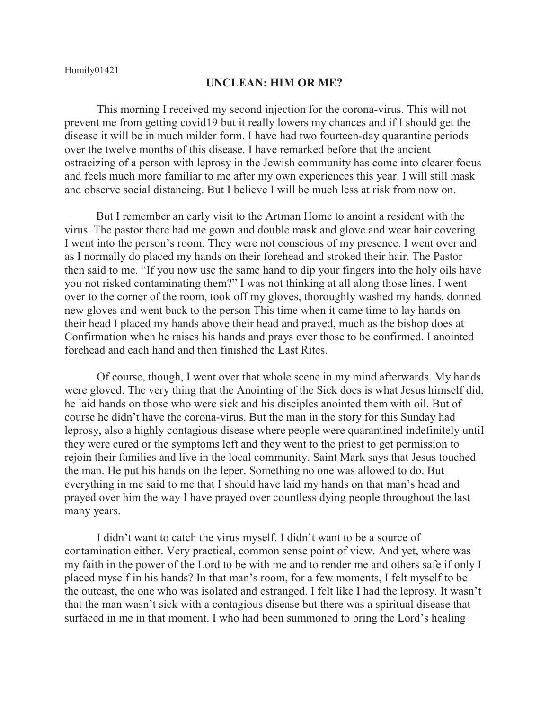## **UNCLEAN: HIM OR ME?**

This morning I received my second injection for the corona-virus. This will not prevent me from getting covid19 but it really lowers my chances and if I should get the disease it will be in much milder form. I have had two fourteen-day quarantine periods over the twelve months of this disease. I have remarked before that the ancient ostracizing of a person with leprosy in the Jewish community has come into clearer focus and feels much more familiar to me after my own experiences this year. I will still mask and observe social distancing. But I believe I will be much less at risk from now on.

But I remember an early visit to the Artman Home to anoint a resident with the virus. The pastor there had me gown and double mask and glove and wear hair covering. I went into the person's room. They were not conscious of my presence. I went over and as I normally do placed my hands on their forehead and stroked their hair. The Pastor then said to me. "If you now use the same hand to dip your fingers into the holy oils have you not risked contaminating them?" I was not thinking at all along those lines. I went over to the corner of the room, took off my gloves, thoroughly washed my hands, donned new gloves and went back to the person This time when it came time to lay hands on their head I placed my hands above their head and prayed, much as the bishop does at Confirmation when he raises his hands and prays over those to be confirmed. I anointed forehead and each hand and then finished the Last Rites.

Of course, though, I went over that whole scene in my mind afterwards. My hands were gloved. The very thing that the Anointing of the Sick does is what Jesus himself did, he laid hands on those who were sick and his disciples anointed them with oil. But of course he didn't have the corona-virus. But the man in the story for this Sunday had leprosy, also a highly contagious disease where people were quarantined indefinitely until they were cured or the symptoms left and they went to the priest to get permission to rejoin their families and live in the local community. Saint Mark says that Jesus touched the man. He put his hands on the leper. Something no one was allowed to do. But everything in me said to me that I should have laid my hands on that man's head and prayed over him the way I have prayed over countless dying people throughout the last many years.

I didn't want to catch the virus myself. I didn't want to be a source of contamination either. Very practical, common sense point of view. And yet, where was my faith in the power of the Lord to be with me and to render me and others safe if only I placed myself in his hands? In that man's room, for a few moments, I felt myself to be the outcast, the one who was isolated and estranged. I felt like I had the leprosy. It wasn't that the man wasn't sick with a contagious disease but there was a spiritual disease that surfaced in me in that moment. I who had been summoned to bring the Lord's healing